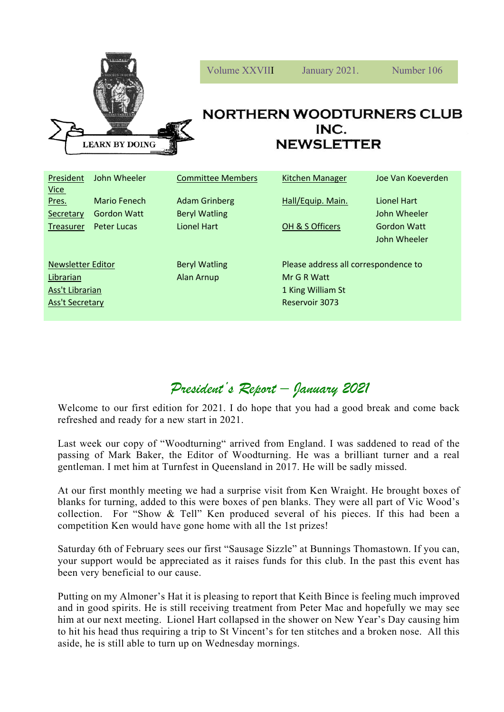

Newsletter Editor **Beryl Watling** Please address all correspondence to Librarian **Alan Arnup** Mr G R Watt Ass't Librarian 1 King William St **Ass't Secretary Reservoir 3073** 

Treasurer Peter Lucas Lionel Hart COH & S Officers Gordon Watt

## *President's Report – January 2021*

John Wheeler

Welcome to our first edition for 2021. I do hope that you had a good break and come back refreshed and ready for a new start in 2021.

Last week our copy of "Woodturning" arrived from England. I was saddened to read of the passing of Mark Baker, the Editor of Woodturning. He was a brilliant turner and a real gentleman. I met him at Turnfest in Queensland in 2017. He will be sadly missed.

At our first monthly meeting we had a surprise visit from Ken Wraight. He brought boxes of blanks for turning, added to this were boxes of pen blanks. They were all part of Vic Wood's collection. For "Show & Tell" Ken produced several of his pieces. If this had been a competition Ken would have gone home with all the 1st prizes!

Saturday 6th of February sees our first "Sausage Sizzle" at Bunnings Thomastown. If you can, your support would be appreciated as it raises funds for this club. In the past this event has been very beneficial to our cause.

Putting on my Almoner's Hat it is pleasing to report that Keith Bince is feeling much improved and in good spirits. He is still receiving treatment from Peter Mac and hopefully we may see him at our next meeting. Lionel Hart collapsed in the shower on New Year's Day causing him to hit his head thus requiring a trip to St Vincent's for ten stitches and a broken nose. All this aside, he is still able to turn up on Wednesday mornings.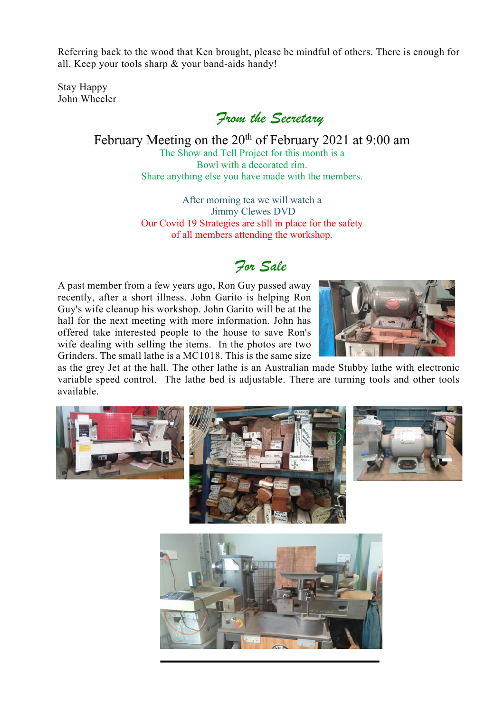Referring back to the wood that Ken brought, please be mindful of others. There is enough for all. Keep your tools sharp & your band-aids handy!

Stay Happy John Wheeler

*From the Secretary*

February Meeting on the 20<sup>th</sup> of February 2021 at 9:00 am The Show and Tell Project for this month is a Bowl with a decorated rim. Share anything else you have made with the members.

> After morning tea we will watch a Jimmy Clewes DVD Our Covid 19 Strategies are still in place for the safety of all members attending the workshop.

## *For Sale*

A past member from a few years ago, Ron Guy passed away recently, after a short illness. John Garito is helping Ron Guy's wife cleanup his workshop. John Garito will be at the hall for the next meeting with more information. John has offered take interested people to the house to save Ron's wife dealing with selling the items. In the photos are two Grinders. The small lathe is a MC1018. This is the same size



as the grey Jet at the hall. The other lathe is an Australian made Stubby lathe with electronic variable speed control. The lathe bed is adjustable. There are turning tools and other tools available.

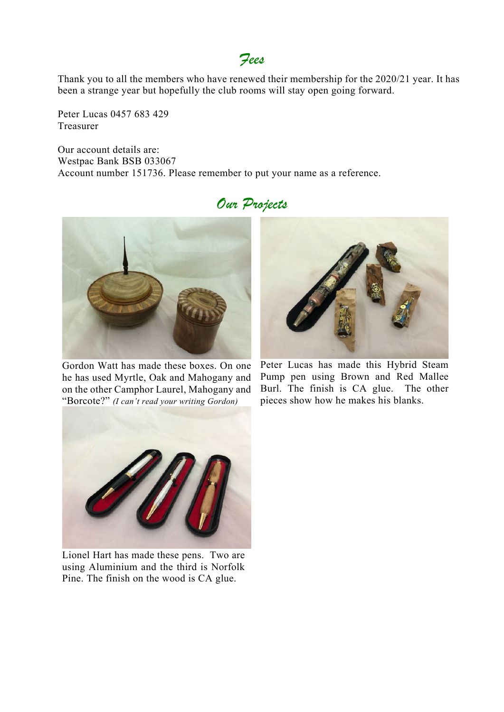## *Fees*

Thank you to all the members who have renewed their membership for the 2020/21 year. It has been a strange year but hopefully the club rooms will stay open going forward.

Peter Lucas 0457 683 429 Treasurer

Our account details are: Westpac Bank BSB 033067 Account number 151736. Please remember to put your name as a reference.

## *Our Projects*



Gordon Watt has made these boxes. On one he has used Myrtle, Oak and Mahogany and on the other Camphor Laurel, Mahogany and "Borcote?" *(I can't read your writing Gordon)*



Peter Lucas has made this Hybrid Steam Pump pen using Brown and Red Mallee Burl. The finish is CA glue. The other pieces show how he makes his blanks.



Lionel Hart has made these pens. Two are using Aluminium and the third is Norfolk Pine. The finish on the wood is CA glue.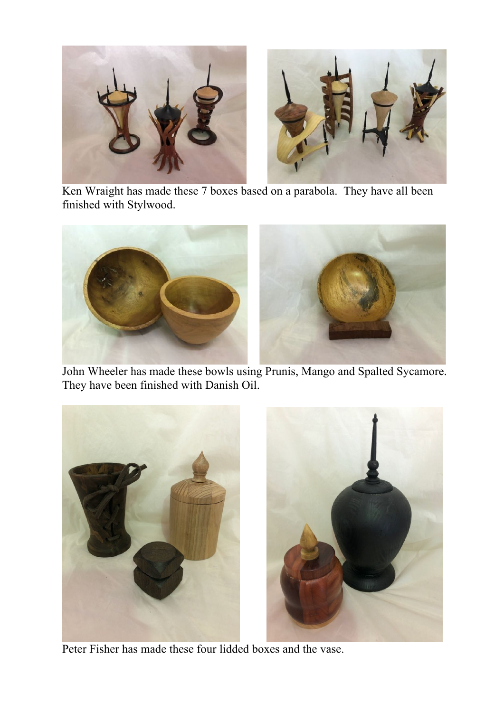

 Ken Wraight has made these 7 boxes based on a parabola. They have all been finished with Stylwood.



 John Wheeler has made these bowls using Prunis, Mango and Spalted Sycamore. They have been finished with Danish Oil.



Peter Fisher has made these four lidded boxes and the vase.